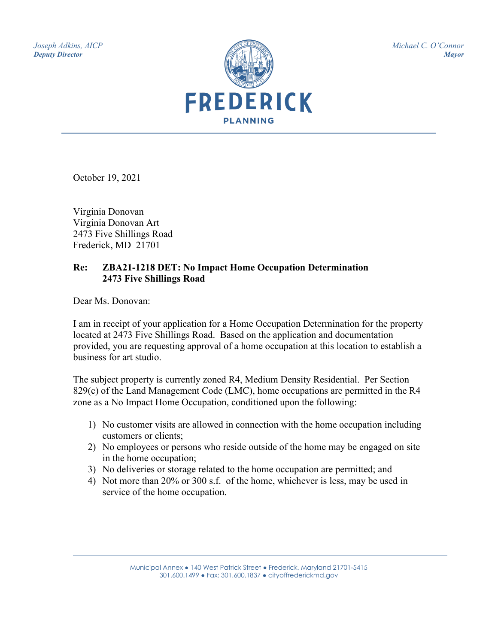*Joseph Adkins, AICP Deputy Director*



*Michael C. O'Connor Mayor*

October 19, 2021

Virginia Donovan Virginia Donovan Art 2473 Five Shillings Road Frederick, MD 21701

### **Re: ZBA21-1218 DET: No Impact Home Occupation Determination 2473 Five Shillings Road**

Dear Ms. Donovan:

I am in receipt of your application for a Home Occupation Determination for the property located at 2473 Five Shillings Road. Based on the application and documentation provided, you are requesting approval of a home occupation at this location to establish a business for art studio.

The subject property is currently zoned R4, Medium Density Residential. Per Section 829(c) of the Land Management Code (LMC), home occupations are permitted in the R4 zone as a No Impact Home Occupation, conditioned upon the following:

- 1) No customer visits are allowed in connection with the home occupation including customers or clients;
- 2) No employees or persons who reside outside of the home may be engaged on site in the home occupation;
- 3) No deliveries or storage related to the home occupation are permitted; and
- 4) Not more than 20% or 300 s.f. of the home, whichever is less, may be used in service of the home occupation.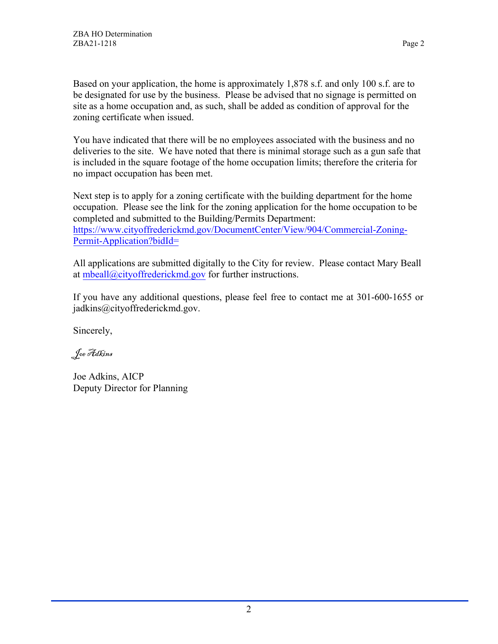Based on your application, the home is approximately 1,878 s.f. and only 100 s.f. are to be designated for use by the business. Please be advised that no signage is permitted on site as a home occupation and, as such, shall be added as condition of approval for the zoning certificate when issued.

You have indicated that there will be no employees associated with the business and no deliveries to the site. We have noted that there is minimal storage such as a gun safe that is included in the square footage of the home occupation limits; therefore the criteria for no impact occupation has been met.

Next step is to apply for a zoning certificate with the building department for the home occupation. Please see the link for the zoning application for the home occupation to be completed and submitted to the Building/Permits Department: [https://www.cityoffrederickmd.gov/DocumentCenter/View/904/Commercial-Zoning-](https://www.cityoffrederickmd.gov/DocumentCenter/View/904/Commercial-Zoning-Permit-Application?bidId=)[Permit-Application?bidId=](https://www.cityoffrederickmd.gov/DocumentCenter/View/904/Commercial-Zoning-Permit-Application?bidId=)

All applications are submitted digitally to the City for review. Please contact Mary Beall at [mbeall@cityoffrederickmd.gov](mailto:mbeall@cityoffrederickmd.gov) for further instructions.

If you have any additional questions, please feel free to contact me at 301-600-1655 or jadkins@cityoffrederickmd.gov.

Sincerely,

Joe Adkins

Joe Adkins, AICP Deputy Director for Planning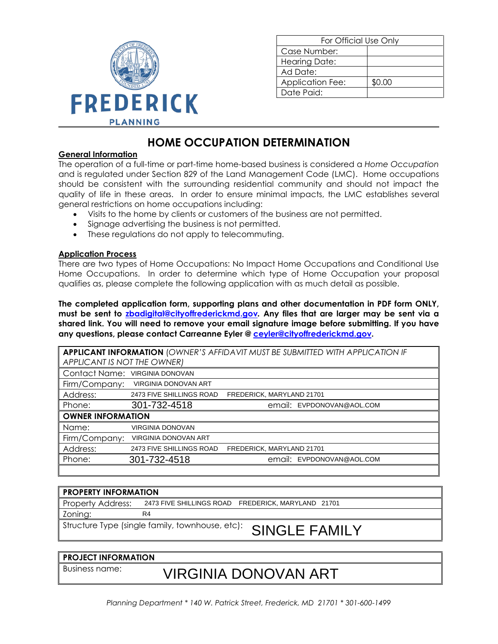

| For Official Use Only   |        |  |
|-------------------------|--------|--|
| Case Number:            |        |  |
| <b>Hearing Date:</b>    |        |  |
| Ad Date:                |        |  |
| <b>Application Fee:</b> | \$0.00 |  |
| Date Paid:              |        |  |

## **HOME OCCUPATION DETERMINATION**

#### **General Information**

The operation of a full-time or part-time home-based business is considered a *Home Occupation* and is regulated under Section 829 of the Land Management Code (LMC). Home occupations should be consistent with the surrounding residential community and should not impact the quality of life in these areas. In order to ensure minimal impacts, the LMC establishes several general restrictions on home occupations including:

- Visits to the home by clients or customers of the business are not permitted.
- Signage advertising the business is not permitted.
- These regulations do not apply to telecommuting.

#### **Application Process**

There are two types of Home Occupations: No Impact Home Occupations and Conditional Use Home Occupations. In order to determine which type of Home Occupation your proposal qualifies as, please complete the following application with as much detail as possible.

**The completed application form, supporting plans and other documentation in PDF form ONLY, must be sent to [zbadigital@cityoffrederickmd.gov](mailto:zbddigital@cityoffrederickmd.gov)***.* **Any files that are larger may be sent via a shared link. You will need to remove your email signature image before submitting. If you have any questions, please contact Carreanne Eyler @ [ceyler@cityoffrederickmd.gov.](mailto:ceyler@cityoffrederickmd.gov)**

| <b>APPLICANT INFORMATION (OWNER'S AFFIDAVIT MUST BE SUBMITTED WITH APPLICATION IF</b> |                                                       |  |
|---------------------------------------------------------------------------------------|-------------------------------------------------------|--|
| APPLICANT IS NOT THE OWNER)                                                           |                                                       |  |
|                                                                                       | Contact Name: VIRGINIA DONOVAN                        |  |
|                                                                                       | Firm/Company: VIRGINIA DONOVAN ART                    |  |
| Address:                                                                              | 2473 FIVE SHILLINGS ROAD<br>FREDERICK, MARYLAND 21701 |  |
| Phone:                                                                                | 301-732-4518<br>email: EVPDONOVAN@AOL.COM             |  |
| <b>OWNER INFORMATION</b>                                                              |                                                       |  |
| Name:                                                                                 | <b>VIRGINIA DONOVAN</b>                               |  |
|                                                                                       | Firm/Company: VIRGINIA DONOVAN ART                    |  |
| Address:                                                                              | 2473 FIVE SHILLINGS ROAD<br>FREDERICK, MARYLAND 21701 |  |
| Phone:                                                                                | 301-732-4518<br>email: EVPDONOVAN@AOL.COM             |  |
|                                                                                       |                                                       |  |
|                                                                                       |                                                       |  |
| <b>PROPERTY INFORMATION</b>                                                           |                                                       |  |
| Property Address:<br>2473 FIVE SHILLINGS ROAD FREDERICK, MARYLAND 21701               |                                                       |  |
| R <sub>4</sub><br>Zoning:                                                             |                                                       |  |
| Structure Type (single family, townhouse, etc):<br><b>SINGLE FAMILY</b>               |                                                       |  |
|                                                                                       |                                                       |  |
|                                                                                       |                                                       |  |
| <b>PROJECT INFORMATION</b>                                                            |                                                       |  |
| Business name:                                                                        | VIRGINIA DONOVAN ART                                  |  |

| <b>PROPERTY INFORMATION</b>                                   |                                                    |  |
|---------------------------------------------------------------|----------------------------------------------------|--|
| Property Address:                                             | 2473 FIVE SHILLINGS ROAD FREDERICK, MARYLAND 21701 |  |
| Zoning:                                                       | R4                                                 |  |
| Structure Type (single family, townhouse, etc): SINGLE FAMILY |                                                    |  |

#### **PROJECT INFORMATION**